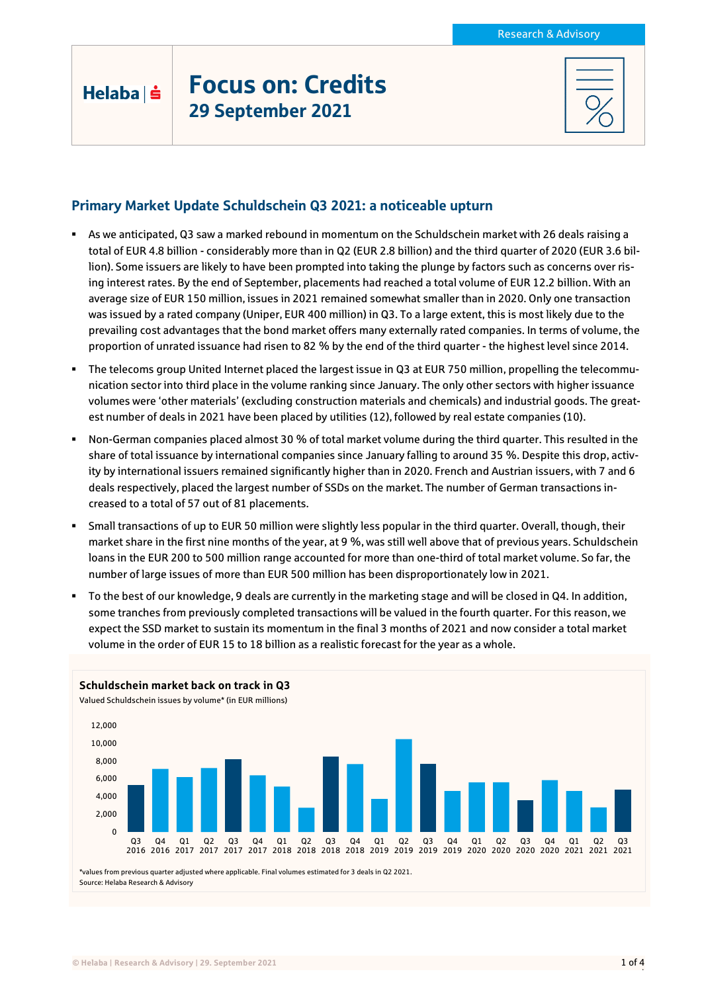## Helaba | s

# Focus on: Credits 29 September 2021

### Primary Market Update Schuldschein Q3 2021: a noticeable upturn

- As we anticipated, Q3 saw a marked rebound in momentum on the Schuldschein market with 26 deals raising a total of EUR 4.8 billion - considerably more than in Q2 (EUR 2.8 billion) and the third quarter of 2020 (EUR 3.6 billion). Some issuers are likely to have been prompted into taking the plunge by factors such as concerns over rising interest rates. By the end of September, placements had reached a total volume of EUR 12.2 billion. With an average size of EUR 150 million, issues in 2021 remained somewhat smaller than in 2020. Only one transaction was issued by a rated company (Uniper, EUR 400 million) in Q3. To a large extent, this is most likely due to the prevailing cost advantages that the bond market offers many externally rated companies. In terms of volume, the proportion of unrated issuance had risen to 82 % by the end of the third quarter - the highest level since 2014.
- The telecoms group United Internet placed the largest issue in Q3 at EUR 750 million, propelling the telecommunication sector into third place in the volume ranking since January. The only other sectors with higher issuance volumes were 'other materials' (excluding construction materials and chemicals) and industrial goods. The greatest number of deals in 2021 have been placed by utilities (12), followed by real estate companies (10).
- Non-German companies placed almost 30 % of total market volume during the third quarter. This resulted in the share of total issuance by international companies since January falling to around 35 %. Despite this drop, activity by international issuers remained significantly higher than in 2020. French and Austrian issuers, with 7 and 6 deals respectively, placed the largest number of SSDs on the market. The number of German transactions increased to a total of 57 out of 81 placements.
- Small transactions of up to EUR 50 million were slightly less popular in the third quarter. Overall, though, their market share in the first nine months of the year, at 9 %, was still well above that of previous years. Schuldschein loans in the EUR 200 to 500 million range accounted for more than one-third of total market volume. So far, the number of large issues of more than EUR 500 million has been disproportionately low in 2021.
- To the best of our knowledge, 9 deals are currently in the marketing stage and will be closed in Q4. In addition, some tranches from previously completed transactions will be valued in the fourth quarter. For this reason, we expect the SSD market to sustain its momentum in the final 3 months of 2021 and now consider a total market volume in the order of EUR 15 to 18 billion as a realistic forecast for the year as a whole.

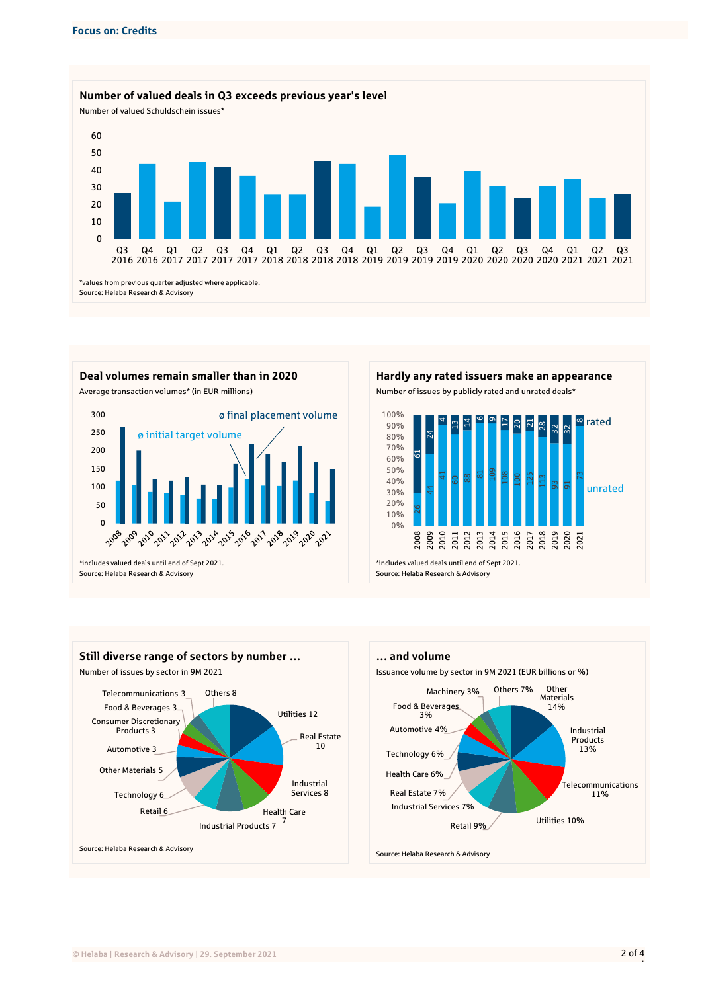

Average transaction volumes\* (in EUR millions) Number of issues by publicly rated and unrated deals\* 300 ø final placement volume 250 ø initial target volume 200 150 100 50 0 1 200 2010 2012 2012 2014 2015 2016 2012 2014 2016 2017

\*includes valued deals until end of Sept 2021. Source: Helaba Research & Advisory



2011<br>2013<br>2014<br>2015

2017 2018 2019

2020 2021

\*includes valued deals until end of Sept 2021. Source: Helaba Research & Advisory

0%

2008 2009 2010



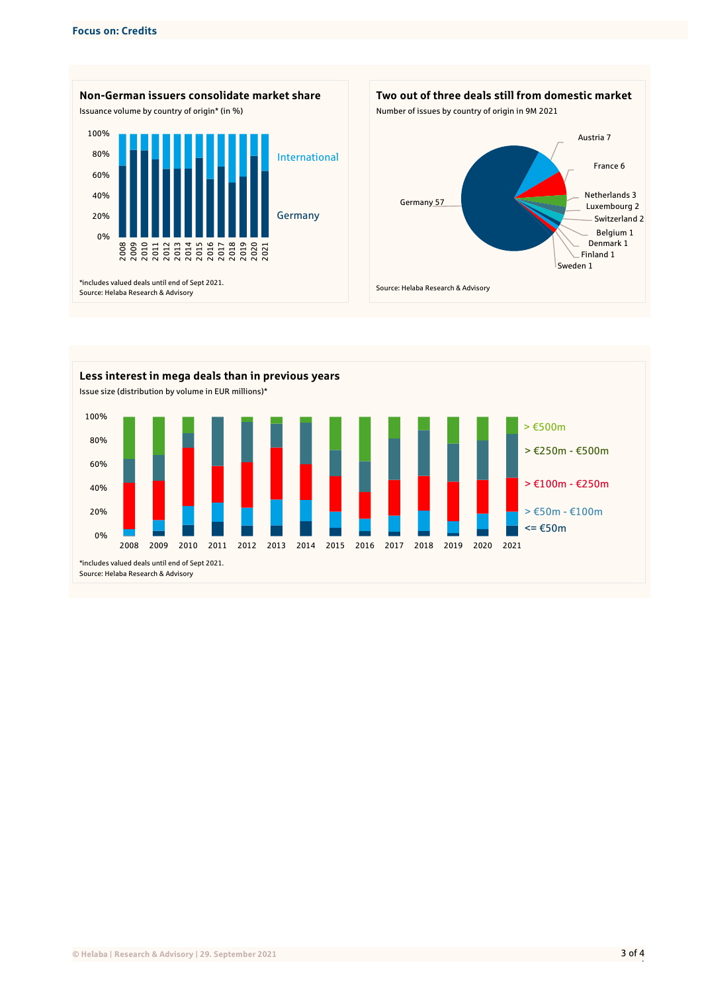





|